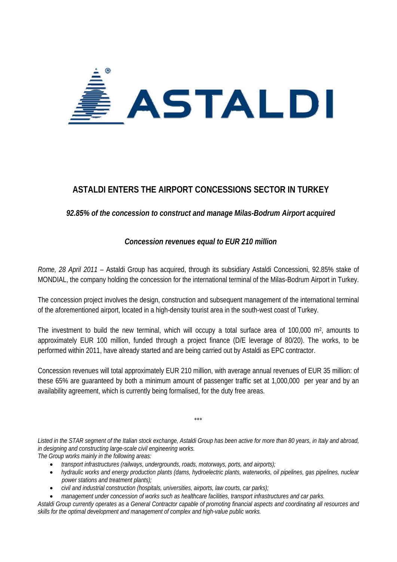

## **ASTALDI ENTERS THE AIRPORT CONCESSIONS SECTOR IN TURKEY**

*92.85% of the concession to construct and manage Milas-Bodrum Airport acquired* 

## *Concession revenues equal to EUR 210 million*

*Rome, 28 April 2011* – Astaldi Group has acquired, through its subsidiary Astaldi Concessioni, 92.85% stake of MONDIAL, the company holding the concession for the international terminal of the Milas-Bodrum Airport in Turkey.

The concession project involves the design, construction and subsequent management of the international terminal of the aforementioned airport, located in a high-density tourist area in the south-west coast of Turkey.

The investment to build the new terminal, which will occupy a total surface area of 100,000 m<sup>2</sup>, amounts to approximately EUR 100 million, funded through a project finance (D/E leverage of 80/20). The works, to be performed within 2011, have already started and are being carried out by Astaldi as EPC contractor.

Concession revenues will total approximately EUR 210 million, with average annual revenues of EUR 35 million: of these 65% are guaranteed by both a minimum amount of passenger traffic set at 1,000,000 per year and by an availability agreement, which is currently being formalised, for the duty free areas.

**°°°** 

*Listed in the STAR segment of the Italian stock exchange, Astaldi Group has been active for more than 80 years, in Italy and abroad, in designing and constructing large-scale civil engineering works.* 

*The Group works mainly in the following areas:* 

- *transport infrastructures (railways, undergrounds, roads, motorways, ports, and airports);*
- *hydraulic works and energy production plants (dams, hydroelectric plants, waterworks, oil pipelines, gas pipelines, nuclear power stations and treatment plants);*
- *civil and industrial construction (hospitals, universities, airports, law courts, car parks);*
- *management under concession of works such as healthcare facilities, transport infrastructures and car parks.*

*Astaldi Group currently operates as a General Contractor capable of promoting financial aspects and coordinating all resources and skills for the optimal development and management of complex and high-value public works.*